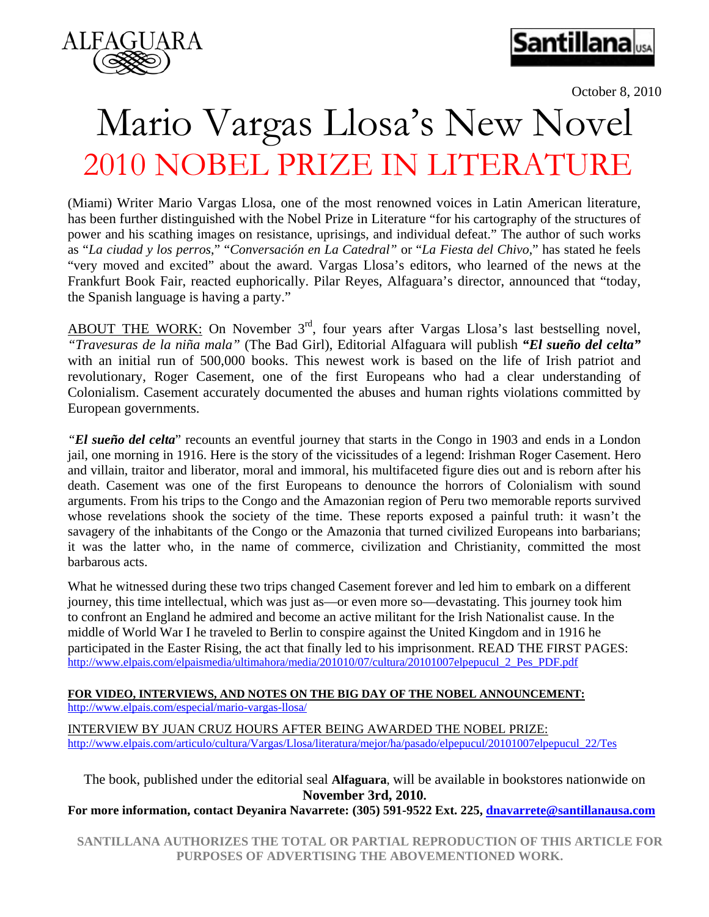



October 8, 2010

## Mario Vargas Llosa's New Novel 2010 NOBEL PRIZE IN LITERATURE

(Miami) Writer Mario Vargas Llosa, one of the most renowned voices in Latin American literature, has been further distinguished with the Nobel Prize in Literature "for his cartography of the structures of power and his scathing images on resistance, uprisings, and individual defeat." The author of such works as "*La ciudad y los perros*," "*Conversación en La Catedral"* or "*La Fiesta del Chivo*," has stated he feels "very moved and excited" about the award. Vargas Llosa's editors, who learned of the news at the Frankfurt Book Fair, reacted euphorically. Pilar Reyes, Alfaguara's director, announced that "today, the Spanish language is having a party."

ABOUT THE WORK: On November  $3<sup>rd</sup>$ , four years after Vargas Llosa's last bestselling novel, *"Travesuras de la niña mala"* (The Bad Girl), Editorial Alfaguara will publish *"El sueño del celta"*  with an initial run of 500,000 books. This newest work is based on the life of Irish patriot and revolutionary, Roger Casement, one of the first Europeans who had a clear understanding of Colonialism. Casement accurately documented the abuses and human rights violations committed by European governments.

*"El sueño del celta*" recounts an eventful journey that starts in the Congo in 1903 and ends in a London jail, one morning in 1916. Here is the story of the vicissitudes of a legend: Irishman Roger Casement. Hero and villain, traitor and liberator, moral and immoral, his multifaceted figure dies out and is reborn after his death. Casement was one of the first Europeans to denounce the horrors of Colonialism with sound arguments. From his trips to the Congo and the Amazonian region of Peru two memorable reports survived whose revelations shook the society of the time. These reports exposed a painful truth: it wasn't the savagery of the inhabitants of the Congo or the Amazonia that turned civilized Europeans into barbarians; it was the latter who, in the name of commerce, civilization and Christianity, committed the most barbarous acts.

What he witnessed during these two trips changed Casement forever and led him to embark on a different journey, this time intellectual, which was just as—or even more so—devastating. This journey took him to confront an England he admired and become an active militant for the Irish Nationalist cause. In the middle of World War I he traveled to Berlin to conspire against the United Kingdom and in 1916 he participated in the Easter Rising, the act that finally led to his imprisonment. READ THE FIRST PAGES: [http://www.elpais.com/elpaismedia/ultimahora/media/201010/07/cultura/20101007elpepucul\\_2\\_Pes\\_PDF.pdf](http://www.elpais.com/elpaismedia/ultimahora/media/201010/07/cultura/20101007elpepucul_2_Pes_PDF.pdf)

## **FOR VIDEO, INTERVIEWS, AND NOTES ON THE BIG DAY OF THE NOBEL ANNOUNCEMENT:** <http://www.elpais.com/especial/mario-vargas-llosa/>

INTERVIEW BY JUAN CRUZ HOURS AFTER BEING AWARDED THE NOBEL PRIZE: [http://www.elpais.com/articulo/cultura/Vargas/Llosa/literatura/mejor/ha/pasado/elpepucul/20101007elpepucul\\_22/Tes](http://www.elpais.com/articulo/cultura/Vargas/Llosa/literatura/mejor/ha/pasado/elpepucul/20101007elpepucul_22/Tes)

The book, published under the editorial seal **Alfaguara**, will be available in bookstores nationwide on **November 3rd, 2010.** 

**For more information, contact Deyanira Navarrete: (305) 591-9522 Ext. 225, [dnavarrete@santillanausa.com](mailto:dnavarrete@santillanausa.com)**

**SANTILLANA AUTHORIZES THE TOTAL OR PARTIAL REPRODUCTION OF THIS ARTICLE FOR PURPOSES OF ADVERTISING THE ABOVEMENTIONED WORK.**